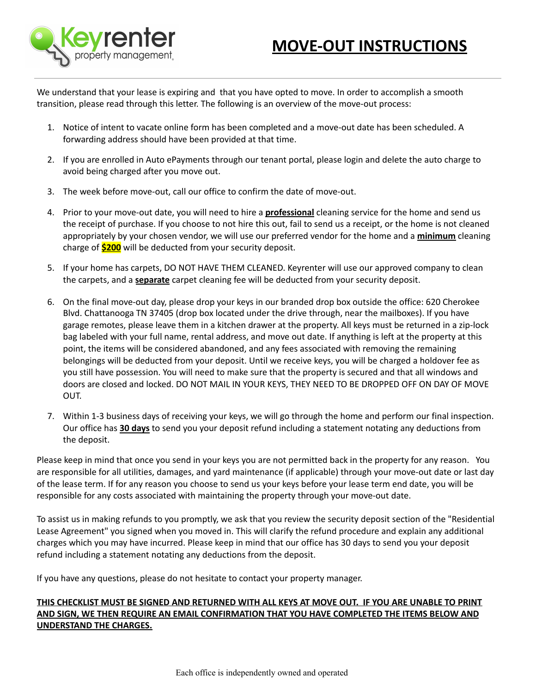

We understand that your lease is expiring and that you have opted to move. In order to accomplish a smooth transition, please read through this letter. The following is an overview of the move-out process:

- 1. Notice of intent to vacate online form has been completed and a move-out date has been scheduled. A forwarding address should have been provided at that time.
- 2. If you are enrolled in Auto ePayments through our tenant portal, please login and delete the auto charge to avoid being charged after you move out.
- 3. The week before move-out, call our office to confirm the date of move-out.
- 4. Prior to your move-out date, you will need to hire a **professional** cleaning service for the home and send us the receipt of purchase. If you choose to not hire this out, fail to send us a receipt, or the home is not cleaned appropriately by your chosen vendor, we will use our preferred vendor for the home and a **minimum** cleaning charge of **\$200** will be deducted from your security deposit.
- 5. If your home has carpets, DO NOT HAVE THEM CLEANED. Keyrenter will use our approved company to clean the carpets, and a **separate** carpet cleaning fee will be deducted from your security deposit.
- 6. On the final move-out day, please drop your keys in our branded drop box outside the office: 620 Cherokee Blvd. Chattanooga TN 37405 (drop box located under the drive through, near the mailboxes). If you have garage remotes, please leave them in a kitchen drawer at the property. All keys must be returned in a zip-lock bag labeled with your full name, rental address, and move out date. If anything is left at the property at this point, the items will be considered abandoned, and any fees associated with removing the remaining belongings will be deducted from your deposit. Until we receive keys, you will be charged a holdover fee as you still have possession. You will need to make sure that the property is secured and that all windows and doors are closed and locked. DO NOT MAIL IN YOUR KEYS, THEY NEED TO BE DROPPED OFF ON DAY OF MOVE OUT.
- 7. Within 1-3 business days of receiving your keys, we will go through the home and perform our final inspection. Our office has **30 days** to send you your deposit refund including a statement notating any deductions from the deposit.

Please keep in mind that once you send in your keys you are not permitted back in the property for any reason. You are responsible for all utilities, damages, and yard maintenance (if applicable) through your move-out date or last day of the lease term. If for any reason you choose to send us your keys before your lease term end date, you will be responsible for any costs associated with maintaining the property through your move-out date.

To assist us in making refunds to you promptly, we ask that you review the security deposit section of the "Residential Lease Agreement" you signed when you moved in. This will clarify the refund procedure and explain any additional charges which you may have incurred. Please keep in mind that our office has 30 days to send you your deposit refund including a statement notating any deductions from the deposit.

If you have any questions, please do not hesitate to contact your property manager.

### THIS CHECKLIST MUST BE SIGNED AND RETURNED WITH ALL KEYS AT MOVE OUT. IF YOU ARE UNABLE TO PRINT **AND SIGN, WE THEN REQUIRE AN EMAIL CONFIRMATION THAT YOU HAVE COMPLETED THE ITEMS BELOW AND UNDERSTAND THE CHARGES.**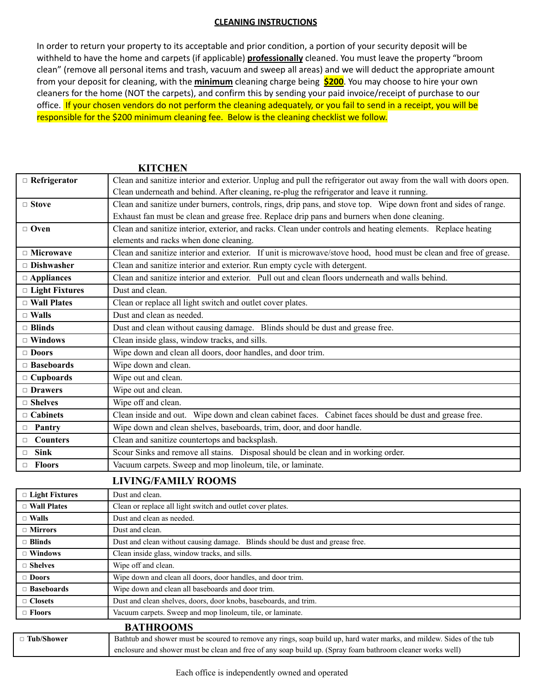#### **CLEANING INSTRUCTIONS**

In order to return your property to its acceptable and prior condition, a portion of your security deposit will be withheld to have the home and carpets (if applicable) **professionally** cleaned. You must leave the property "broom clean" (remove all personal items and trash, vacuum and sweep all areas) and we will deduct the appropriate amount from your deposit for cleaning, with the **minimum** cleaning charge being **\$200**. You may choose to hire your own cleaners for the home (NOT the carpets), and confirm this by sending your paid invoice/receipt of purchase to our office. If your chosen vendors do not perform the cleaning adequately, or you fail to send in a receipt, you will be responsible for the \$200 minimum cleaning fee. Below is the cleaning checklist we follow.

| $\Box$ Refrigerator     | Clean and sanitize interior and exterior. Unplug and pull the refrigerator out away from the wall with doors open. |
|-------------------------|--------------------------------------------------------------------------------------------------------------------|
|                         | Clean underneath and behind. After cleaning, re-plug the refrigerator and leave it running.                        |
| $\Box$ Stove            | Clean and sanitize under burners, controls, rings, drip pans, and stove top. Wipe down front and sides of range.   |
|                         | Exhaust fan must be clean and grease free. Replace drip pans and burners when done cleaning.                       |
| $\Box$ Oven             | Clean and sanitize interior, exterior, and racks. Clean under controls and heating elements. Replace heating       |
|                         | elements and racks when done cleaning.                                                                             |
| $\Box$ Microwave        | Clean and sanitize interior and exterior. If unit is microwave/stove hood, hood must be clean and free of grease.  |
| $\Box$ Dishwasher       | Clean and sanitize interior and exterior. Run empty cycle with detergent.                                          |
| $\Box$ Appliances       | Clean and sanitize interior and exterior. Pull out and clean floors underneath and walls behind.                   |
| $\Box$ Light Fixtures   | Dust and clean.                                                                                                    |
| $\Box$ Wall Plates      | Clean or replace all light switch and outlet cover plates.                                                         |
| $\Box$ Walls            | Dust and clean as needed.                                                                                          |
| $\Box$ Blinds           | Dust and clean without causing damage. Blinds should be dust and grease free.                                      |
| $\Box$ Windows          | Clean inside glass, window tracks, and sills.                                                                      |
| $\Box$ Doors            | Wipe down and clean all doors, door handles, and door trim.                                                        |
| $\Box$ Baseboards       | Wipe down and clean.                                                                                               |
| $\Box$ Cupboards        | Wipe out and clean.                                                                                                |
| $\Box$ Drawers          | Wipe out and clean.                                                                                                |
| $\Box$ Shelves          | Wipe off and clean.                                                                                                |
| $\Box$ Cabinets         | Clean inside and out. Wipe down and clean cabinet faces. Cabinet faces should be dust and grease free.             |
| $\Box$ Pantry           | Wipe down and clean shelves, baseboards, trim, door, and door handle.                                              |
| $\Box$ Counters         | Clean and sanitize countertops and backsplash.                                                                     |
| <b>Sink</b><br>$\Box$   | Scour Sinks and remove all stains. Disposal should be clean and in working order.                                  |
| <b>Floors</b><br>$\Box$ | Vacuum carpets. Sweep and mop linoleum, tile, or laminate.                                                         |

## **KITCHEN**

### **LIVING/FAMILY ROOMS**

| $\Box$ Light Fixtures | Dust and clean.                                                               |
|-----------------------|-------------------------------------------------------------------------------|
| $\Box$ Wall Plates    | Clean or replace all light switch and outlet cover plates.                    |
| $\Box$ Walls          | Dust and clean as needed.                                                     |
| $\Box$ Mirrors        | Dust and clean.                                                               |
| $\Box$ Blinds         | Dust and clean without causing damage. Blinds should be dust and grease free. |
| $\Box$ Windows        | Clean inside glass, window tracks, and sills.                                 |
| $\Box$ Shelves        | Wipe off and clean.                                                           |
| $\Box$ Doors          | Wipe down and clean all doors, door handles, and door trim.                   |
| $\Box$ Baseboards     | Wipe down and clean all baseboards and door trim.                             |
| $\Box$ Closets        | Dust and clean shelves, doors, door knobs, baseboards, and trim.              |
| $\Box$ Floors         | Vacuum carpets. Sweep and mop linoleum, tile, or laminate.                    |
|                       |                                                                               |

### **BATHROOMS** □ **Tub/Shower** Bathtub and shower must be scoured to remove any rings, soap build up, hard water marks, and mildew. Sides of the tub enclosure and shower must be clean and free of any soap build up. (Spray foam bathroom cleaner works well)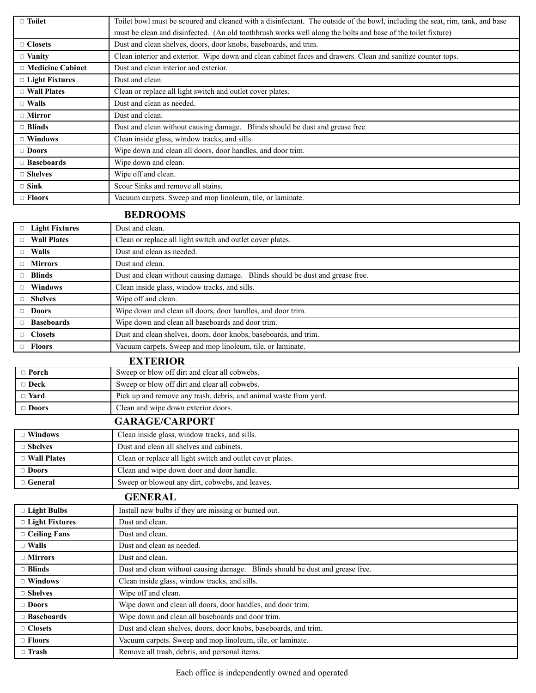| $\Box$ Toilet           | Toilet bowl must be scoured and cleaned with a disinfectant. The outside of the bowl, including the seat, rim, tank, and base |
|-------------------------|-------------------------------------------------------------------------------------------------------------------------------|
|                         | must be clean and disinfected. (An old toothbrush works well along the bolts and base of the toilet fixture)                  |
| $\Box$ Closets          | Dust and clean shelves, doors, door knobs, baseboards, and trim.                                                              |
| $\Box$ Vanity           | Clean interior and exterior. Wipe down and clean cabinet faces and drawers. Clean and sanitize counter tops.                  |
| $\Box$ Medicine Cabinet | Dust and clean interior and exterior.                                                                                         |
| $\Box$ Light Fixtures   | Dust and clean.                                                                                                               |
| $\Box$ Wall Plates      | Clean or replace all light switch and outlet cover plates.                                                                    |
| $\Box$ Walls            | Dust and clean as needed.                                                                                                     |
| $\Box$ Mirror           | Dust and clean.                                                                                                               |
| $\Box$ Blinds           | Dust and clean without causing damage. Blinds should be dust and grease free.                                                 |
| $\Box$ Windows          | Clean inside glass, window tracks, and sills.                                                                                 |
| $\Box$ Doors            | Wipe down and clean all doors, door handles, and door trim.                                                                   |
| $\Box$ Baseboards       | Wipe down and clean.                                                                                                          |
| $\Box$ Shelves          | Wipe off and clean.                                                                                                           |
| $\Box$ Sink             | Scour Sinks and remove all stains.                                                                                            |
| $\Box$ Floors           | Vacuum carpets. Sweep and mop linoleum, tile, or laminate.                                                                    |

# **BEDROOMS**

| $\Box$ | <b>Light Fixtures</b> | Dust and clean.                                                                  |
|--------|-----------------------|----------------------------------------------------------------------------------|
| $\Box$ | <b>Wall Plates</b>    | Clean or replace all light switch and outlet cover plates.                       |
| $\Box$ | <b>Walls</b>          | Dust and clean as needed.                                                        |
| $\Box$ | <b>Mirrors</b>        | Dust and clean.                                                                  |
| $\Box$ | <b>Blinds</b>         | Blinds should be dust and grease free.<br>Dust and clean without causing damage. |
| П.     | <b>Windows</b>        | Clean inside glass, window tracks, and sills.                                    |
| $\Box$ | <b>Shelves</b>        | Wipe off and clean.                                                              |
| $\Box$ | <b>Doors</b>          | Wipe down and clean all doors, door handles, and door trim.                      |
| $\Box$ | <b>Baseboards</b>     | Wipe down and clean all baseboards and door trim.                                |
| $\Box$ | <b>Closets</b>        | Dust and clean shelves, doors, door knobs, baseboards, and trim.                 |
| П.     | <b>Floors</b>         | Vacuum carpets. Sweep and mop linoleum, tile, or laminate.                       |

|              | <b>EXTERIOR</b>                                                   |
|--------------|-------------------------------------------------------------------|
| $\Box$ Porch | Sweep or blow off dirt and clear all cobwebs.                     |
| $\Box$ Deck  | Sweep or blow off dirt and clear all cobwebs.                     |
| $\Box$ Yard  | Pick up and remove any trash, debris, and animal waste from yard. |
| $\Box$ Doors | Clean and wipe down exterior doors.                               |
|              | $C \cup D \cup C \cup C \cup D$                                   |

# **GARAGE/CARPORT**

| $\Box$ Windows     | Clean inside glass, window tracks, and sills.              |
|--------------------|------------------------------------------------------------|
| $\Box$ Shelves     | Dust and clean all shelves and cabinets.                   |
| $\Box$ Wall Plates | Clean or replace all light switch and outlet cover plates. |
| $\Box$ Doors       | Clean and wipe down door and door handle.                  |
| $\Box$ General     | Sweep or blowout any dirt, cobwebs, and leaves.            |
| <b>CENEDAI</b>     |                                                            |

|                       | GENEKAL                                                                          |
|-----------------------|----------------------------------------------------------------------------------|
| $\Box$ Light Bulbs    | Install new bulbs if they are missing or burned out.                             |
| $\Box$ Light Fixtures | Dust and clean.                                                                  |
| $\Box$ Ceiling Fans   | Dust and clean.                                                                  |
| $\Box$ Walls          | Dust and clean as needed.                                                        |
| $\Box$ Mirrors        | Dust and clean.                                                                  |
| $\Box$ Blinds         | Dust and clean without causing damage.<br>Blinds should be dust and grease free. |
| $\Box$ Windows        | Clean inside glass, window tracks, and sills.                                    |
| $\Box$ Shelves        | Wipe off and clean.                                                              |
| $\Box$ Doors          | Wipe down and clean all doors, door handles, and door trim.                      |
| $\Box$ Baseboards     | Wipe down and clean all baseboards and door trim.                                |
| $\Box$ Closets        | Dust and clean shelves, doors, door knobs, baseboards, and trim.                 |
| $\Box$ Floors         | Vacuum carpets. Sweep and mop linoleum, tile, or laminate.                       |
| $\Box$ Trash          | Remove all trash, debris, and personal items.                                    |